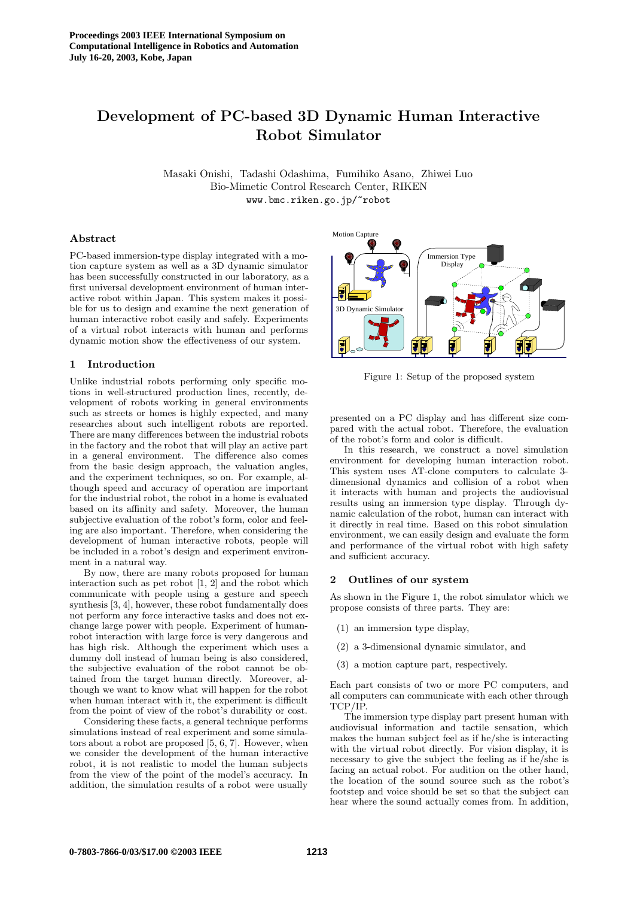# **Development of PC-based 3D Dynamic Human Interactive Robot Simulator**

Masaki Onishi, Tadashi Odashima, Fumihiko Asano, Zhiwei Luo Bio-Mimetic Control Research Center, RIKEN www.bmc.riken.go.jp/~robot

## **Abstract**

PC-based immersion-type display integrated with a motion capture system as well as a 3D dynamic simulator has been successfully constructed in our laboratory, as a first universal development environment of human interactive robot within Japan. This system makes it possible for us to design and examine the next generation of human interactive robot easily and safely. Experiments of a virtual robot interacts with human and performs dynamic motion show the effectiveness of our system.

## **1 Introduction**

Unlike industrial robots performing only specific motions in well-structured production lines, recently, development of robots working in general environments such as streets or homes is highly expected, and many researches about such intelligent robots are reported. There are many differences between the industrial robots in the factory and the robot that will play an active part in a general environment. The difference also comes from the basic design approach, the valuation angles, and the experiment techniques, so on. For example, although speed and accuracy of operation are important for the industrial robot, the robot in a home is evaluated based on its affinity and safety. Moreover, the human subjective evaluation of the robot's form, color and feeling are also important. Therefore, when considering the development of human interactive robots, people will be included in a robot's design and experiment environment in a natural way.

By now, there are many robots proposed for human interaction such as pet robot  $[1, 2]$  and the robot which communicate with people using a gesture and speech synthesis [3, 4], however, these robot fundamentally does not perform any force interactive tasks and does not exchange large power with people. Experiment of humanrobot interaction with large force is very dangerous and has high risk. Although the experiment which uses a dummy doll instead of human being is also considered, the subjective evaluation of the robot cannot be obtained from the target human directly. Moreover, although we want to know what will happen for the robot when human interact with it, the experiment is difficult from the point of view of the robot's durability or cost.

Considering these facts, a general technique performs simulations instead of real experiment and some simulators about a robot are proposed [5, 6, 7]. However, when we consider the development of the human interactive robot, it is not realistic to model the human subjects from the view of the point of the model's accuracy. In addition, the simulation results of a robot were usually



Figure 1: Setup of the proposed system

presented on a PC display and has different size compared with the actual robot. Therefore, the evaluation of the robot's form and color is difficult.

In this research, we construct a novel simulation environment for developing human interaction robot. This system uses AT-clone computers to calculate 3 dimensional dynamics and collision of a robot when it interacts with human and projects the audiovisual results using an immersion type display. Through dynamic calculation of the robot, human can interact with it directly in real time. Based on this robot simulation environment, we can easily design and evaluate the form and performance of the virtual robot with high safety and sufficient accuracy.

#### **2 Outlines of our system**

As shown in the Figure 1, the robot simulator which we propose consists of three parts. They are:

- (1) an immersion type display,
- (2) a 3-dimensional dynamic simulator, and
- (3) a motion capture part, respectively.

Each part consists of two or more PC computers, and all computers can communicate with each other through TCP/IP.

The immersion type display part present human with audiovisual information and tactile sensation, which makes the human subject feel as if he/she is interacting with the virtual robot directly. For vision display, it is necessary to give the subject the feeling as if he/she is facing an actual robot. For audition on the other hand, the location of the sound source such as the robot's footstep and voice should be set so that the subject can hear where the sound actually comes from. In addition,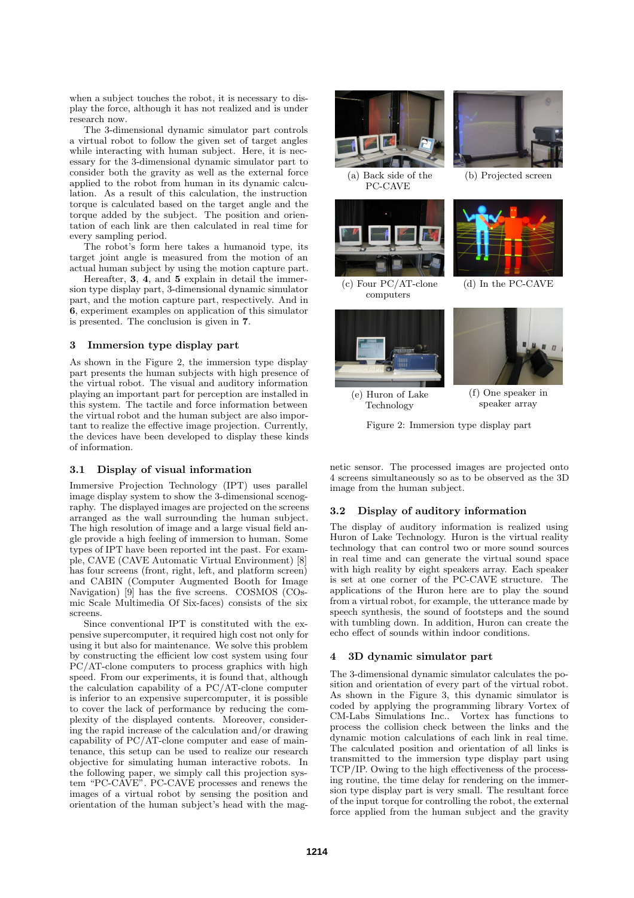when a subject touches the robot, it is necessary to display the force, although it has not realized and is under research now.

The 3-dimensional dynamic simulator part controls a virtual robot to follow the given set of target angles while interacting with human subject. Here, it is necessary for the 3-dimensional dynamic simulator part to consider both the gravity as well as the external force applied to the robot from human in its dynamic calculation. As a result of this calculation, the instruction torque is calculated based on the target angle and the torque added by the subject. The position and orientation of each link are then calculated in real time for every sampling period.

The robot's form here takes a humanoid type, its target joint angle is measured from the motion of an actual human subject by using the motion capture part.

Hereafter, **3**, **4**, and **5** explain in detail the immersion type display part, 3-dimensional dynamic simulator part, and the motion capture part, respectively. And in **6**, experiment examples on application of this simulator is presented. The conclusion is given in **7**.

## **3 Immersion type display part**

As shown in the Figure 2, the immersion type display part presents the human subjects with high presence of the virtual robot. The visual and auditory information playing an important part for perception are installed in this system. The tactile and force information between the virtual robot and the human subject are also important to realize the effective image projection. Currently, the devices have been developed to display these kinds of information.

## **3.1 Display of visual information**

Immersive Projection Technology (IPT) uses parallel image display system to show the 3-dimensional scenography. The displayed images are projected on the screens arranged as the wall surrounding the human subject. The high resolution of image and a large visual field angle provide a high feeling of immersion to human. Some types of IPT have been reported int the past. For example, CAVE (CAVE Automatic Virtual Environment) [8] has four screens (front, right, left, and platform screen) and CABIN (Computer Augmented Booth for Image Navigation) [9] has the five screens. COSMOS (COsmic Scale Multimedia Of Six-faces) consists of the six screens.

Since conventional IPT is constituted with the expensive supercomputer, it required high cost not only for using it but also for maintenance. We solve this problem by constructing the efficient low cost system using four PC/AT-clone computers to process graphics with high speed. From our experiments, it is found that, although the calculation capability of a PC/AT-clone computer is inferior to an expensive supercomputer, it is possible to cover the lack of performance by reducing the complexity of the displayed contents. Moreover, considering the rapid increase of the calculation and/or drawing capability of PC/AT-clone computer and ease of maintenance, this setup can be used to realize our research objective for simulating human interactive robots. In the following paper, we simply call this projection system "PC-CAVE". PC-CAVE processes and renews the images of a virtual robot by sensing the position and orientation of the human subject's head with the mag-



(a) Back side of the PC-CAVE



(c) Four PC/AT-clone computers





(b) Projected screen



(d) In the PC-CAVE



(f) One speaker in speaker array

(e) Huron of Lake Technology

Figure 2: Immersion type display part

netic sensor. The processed images are projected onto 4 screens simultaneously so as to be observed as the 3D image from the human subject.

## **3.2 Display of auditory information**

The display of auditory information is realized using Huron of Lake Technology. Huron is the virtual reality technology that can control two or more sound sources in real time and can generate the virtual sound space with high reality by eight speakers array. Each speaker is set at one corner of the PC-CAVE structure. The applications of the Huron here are to play the sound from a virtual robot, for example, the utterance made by speech synthesis, the sound of footsteps and the sound with tumbling down. In addition, Huron can create the echo effect of sounds within indoor conditions.

## **4 3D dynamic simulator part**

The 3-dimensional dynamic simulator calculates the position and orientation of every part of the virtual robot. As shown in the Figure 3, this dynamic simulator is coded by applying the programming library Vortex of CM-Labs Simulations Inc.. Vortex has functions to process the collision check between the links and the dynamic motion calculations of each link in real time. The calculated position and orientation of all links is transmitted to the immersion type display part using TCP/IP. Owing to the high effectiveness of the processing routine, the time delay for rendering on the immersion type display part is very small. The resultant force of the input torque for controlling the robot, the external force applied from the human subject and the gravity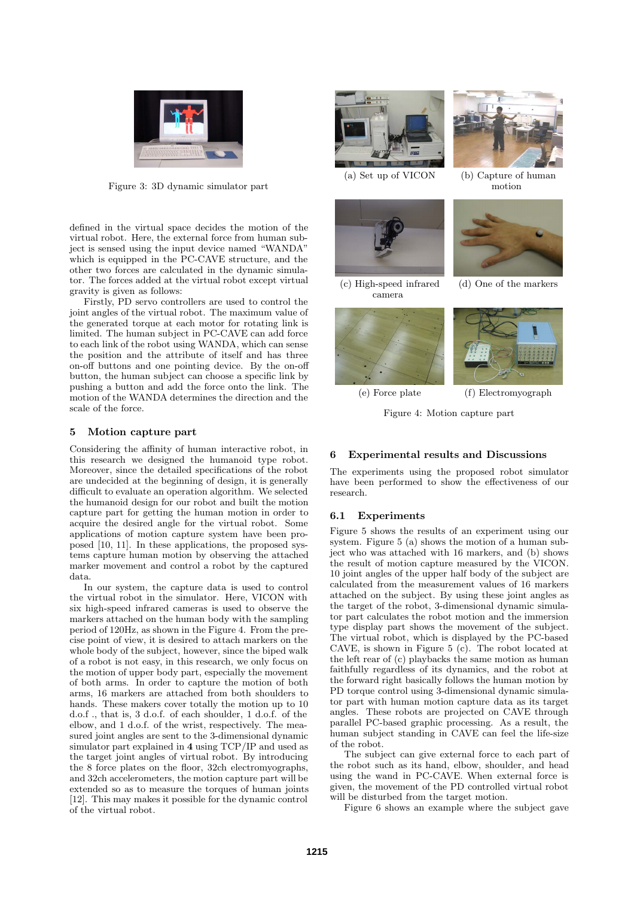

Figure 3: 3D dynamic simulator part

defined in the virtual space decides the motion of the virtual robot. Here, the external force from human subject is sensed using the input device named "WANDA" which is equipped in the PC-CAVE structure, and the other two forces are calculated in the dynamic simulator. The forces added at the virtual robot except virtual gravity is given as follows:

Firstly, PD servo controllers are used to control the joint angles of the virtual robot. The maximum value of the generated torque at each motor for rotating link is limited. The human subject in PC-CAVE can add force to each link of the robot using WANDA, which can sense the position and the attribute of itself and has three on-off buttons and one pointing device. By the on-off button, the human subject can choose a specific link by pushing a button and add the force onto the link. The motion of the WANDA determines the direction and the scale of the force.

## **5 Motion capture part**

Considering the affinity of human interactive robot, in this research we designed the humanoid type robot. Moreover, since the detailed specifications of the robot are undecided at the beginning of design, it is generally difficult to evaluate an operation algorithm. We selected the humanoid design for our robot and built the motion capture part for getting the human motion in order to acquire the desired angle for the virtual robot. Some applications of motion capture system have been proposed [10, 11]. In these applications, the proposed systems capture human motion by observing the attached marker movement and control a robot by the captured data.

In our system, the capture data is used to control the virtual robot in the simulator. Here, VICON with six high-speed infrared cameras is used to observe the markers attached on the human body with the sampling period of 120Hz, as shown in the Figure 4. From the precise point of view, it is desired to attach markers on the whole body of the subject, however, since the biped walk of a robot is not easy, in this research, we only focus on the motion of upper body part, especially the movement of both arms. In order to capture the motion of both arms, 16 markers are attached from both shoulders to hands. These makers cover totally the motion up to 10 d.o.f ., that is, 3 d.o.f. of each shoulder, 1 d.o.f. of the elbow, and 1 d.o.f. of the wrist, respectively. The measured joint angles are sent to the 3-dimensional dynamic simulator part explained in **4** using TCP/IP and used as the target joint angles of virtual robot. By introducing the 8 force plates on the floor, 32ch electromyographs, and 32ch accelerometers, the motion capture part will be extended so as to measure the torques of human joints [12]. This may makes it possible for the dynamic control of the virtual robot.



(a) Set up of VICON



(c) High-speed infrared camera





(b) Capture of human motion



(d) One of the markers



(f) Electromyograph

(e) Force plate

Figure 4: Motion capture part

## **6 Experimental results and Discussions**

The experiments using the proposed robot simulator have been performed to show the effectiveness of our research.

## **6.1 Experiments**

Figure 5 shows the results of an experiment using our system. Figure 5 (a) shows the motion of a human subject who was attached with 16 markers, and (b) shows the result of motion capture measured by the VICON. 10 joint angles of the upper half body of the subject are calculated from the measurement values of 16 markers attached on the subject. By using these joint angles as the target of the robot, 3-dimensional dynamic simulator part calculates the robot motion and the immersion type display part shows the movement of the subject. The virtual robot, which is displayed by the PC-based CAVE, is shown in Figure 5 (c). The robot located at the left rear of (c) playbacks the same motion as human faithfully regardless of its dynamics, and the robot at the forward right basically follows the human motion by PD torque control using 3-dimensional dynamic simulator part with human motion capture data as its target angles. These robots are projected on CAVE through parallel PC-based graphic processing. As a result, the human subject standing in CAVE can feel the life-size of the robot.

The subject can give external force to each part of the robot such as its hand, elbow, shoulder, and head using the wand in PC-CAVE. When external force is given, the movement of the PD controlled virtual robot will be disturbed from the target motion.

Figure 6 shows an example where the subject gave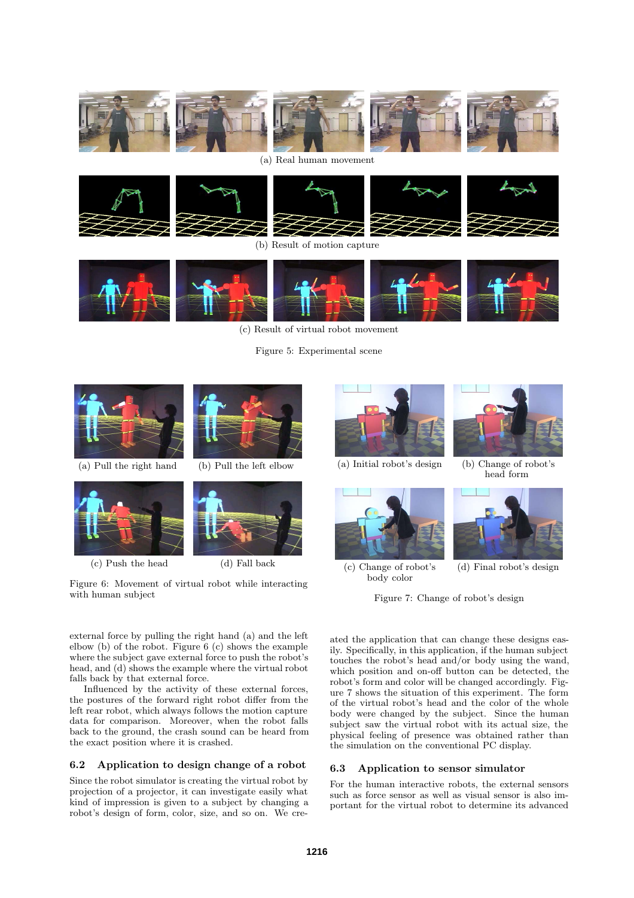









(b) Result of motion capture



(c) Result of virtual robot movement

Figure 5: Experimental scene



Figure 6: Movement of virtual robot while interacting with human subject

Figure 7: Change of robot's design

ated the application that can change these designs easily. Specifically, in this application, if the human subject touches the robot's head and/or body using the wand, which position and on-off button can be detected, the robot's form and color will be changed accordingly. Figure 7 shows the situation of this experiment. The form of the virtual robot's head and the color of the whole body were changed by the subject. Since the human subject saw the virtual robot with its actual size, the

## **6.3 Application to sensor simulator**

For the human interactive robots, the external sensors such as force sensor as well as visual sensor is also important for the virtual robot to determine its advanced

physical feeling of presence was obtained rather than the simulation on the conventional PC display.

external force by pulling the right hand (a) and the left elbow (b) of the robot. Figure  $6$  (c) shows the example where the subject gave external force to push the robot's head, and (d) shows the example where the virtual robot falls back by that external force.

Influenced by the activity of these external forces, the postures of the forward right robot differ from the left rear robot, which always follows the motion capture data for comparison. Moreover, when the robot falls back to the ground, the crash sound can be heard from the exact position where it is crashed.

## **6.2 Application to design change of a robot**

Since the robot simulator is creating the virtual robot by projection of a projector, it can investigate easily what kind of impression is given to a subject by changing a robot's design of form, color, size, and so on. We cre-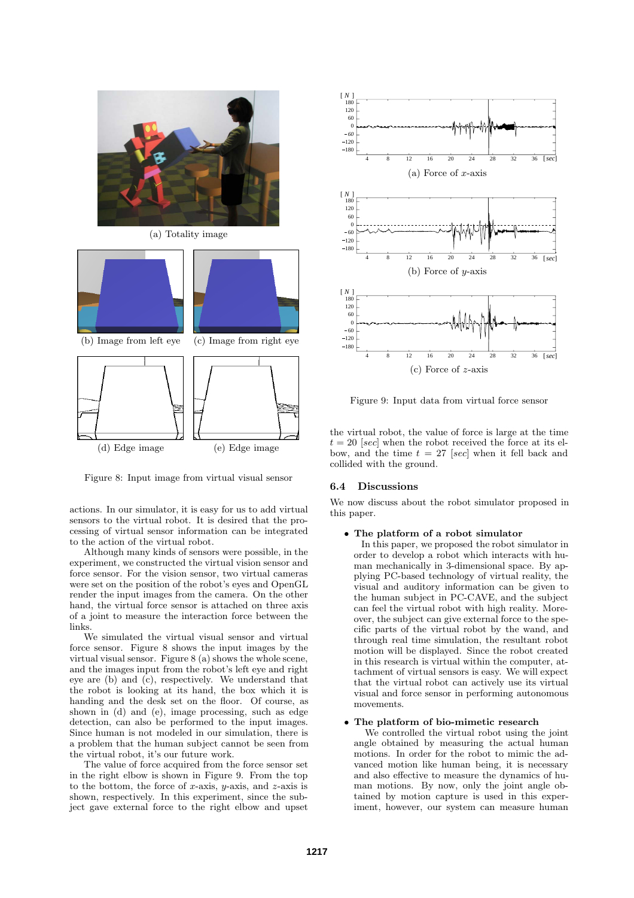

(a) Totality image



Figure 8: Input image from virtual visual sensor

actions. In our simulator, it is easy for us to add virtual sensors to the virtual robot. It is desired that the processing of virtual sensor information can be integrated to the action of the virtual robot.

Although many kinds of sensors were possible, in the experiment, we constructed the virtual vision sensor and force sensor. For the vision sensor, two virtual cameras were set on the position of the robot's eyes and OpenGL render the input images from the camera. On the other hand, the virtual force sensor is attached on three axis of a joint to measure the interaction force between the links.

We simulated the virtual visual sensor and virtual force sensor. Figure 8 shows the input images by the virtual visual sensor. Figure 8 (a) shows the whole scene, and the images input from the robot's left eye and right eye are (b) and (c), respectively. We understand that the robot is looking at its hand, the box which it is handing and the desk set on the floor. Of course, as shown in (d) and (e), image processing, such as edge detection, can also be performed to the input images. Since human is not modeled in our simulation, there is a problem that the human subject cannot be seen from the virtual robot, it's our future work.

The value of force acquired from the force sensor set in the right elbow is shown in Figure 9. From the top to the bottom, the force of *x*-axis, *y*-axis, and *z*-axis is shown, respectively. In this experiment, since the subject gave external force to the right elbow and upset



Figure 9: Input data from virtual force sensor

the virtual robot, the value of force is large at the time  $t = 20$  [*sec*] when the robot received the force at its elbow, and the time  $t = 27$  [sec] when it fell back and collided with the ground.

## **6.4 Discussions**

We now discuss about the robot simulator proposed in this paper.

## *•* **The platform of a robot simulator**

In this paper, we proposed the robot simulator in order to develop a robot which interacts with human mechanically in 3-dimensional space. By applying PC-based technology of virtual reality, the visual and auditory information can be given to the human subject in PC-CAVE, and the subject can feel the virtual robot with high reality. Moreover, the subject can give external force to the specific parts of the virtual robot by the wand, and through real time simulation, the resultant robot motion will be displayed. Since the robot created in this research is virtual within the computer, attachment of virtual sensors is easy. We will expect that the virtual robot can actively use its virtual visual and force sensor in performing autonomous movements.

## *•* **The platform of bio-mimetic research**

We controlled the virtual robot using the joint angle obtained by measuring the actual human motions. In order for the robot to mimic the advanced motion like human being, it is necessary and also effective to measure the dynamics of human motions. By now, only the joint angle obtained by motion capture is used in this experiment, however, our system can measure human